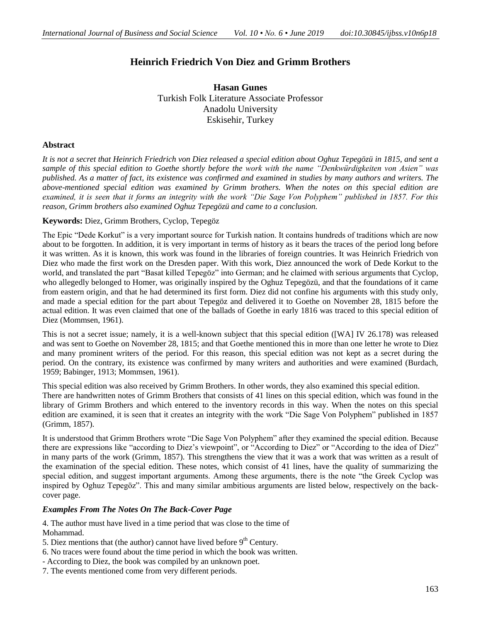# **Heinrich Friedrich Von Diez and Grimm Brothers**

**Hasan Gunes** Turkish Folk Literature Associate Professor Anadolu University Eskisehir, Turkey

# **Abstract**

*It is not a secret that Heinrich Friedrich von Diez released a special edition about Oghuz Tepegözü in 1815, and sent a sample of this special edition to Goethe shortly before the work with the name "Denkwürdigkeiten von Asien" was published. As a matter of fact, its existence was confirmed and examined in studies by many authors and writers. The above-mentioned special edition was examined by Grimm brothers. When the notes on this special edition are examined, it is seen that it forms an integrity with the work "Die Sage Von Polyphem" published in 1857. For this reason, Grimm brothers also examined Oghuz Tepegözü and came to a conclusion.*

### **Keywords:** Diez, Grimm Brothers, Cyclop, Tepegöz

The Epic "Dede Korkut" is a very important source for Turkish nation. It contains hundreds of traditions which are now about to be forgotten. In addition, it is very important in terms of history as it bears the traces of the period long before it was written. As it is known, this work was found in the libraries of foreign countries. It was Heinrich Friedrich von Diez who made the first work on the Dresden paper. With this work, Diez announced the work of Dede Korkut to the world, and translated the part "Basat killed Tepegöz" into German; and he claimed with serious arguments that Cyclop, who allegedly belonged to Homer, was originally inspired by the Oghuz Tepegözü, and that the foundations of it came from eastern origin, and that he had determined its first form. Diez did not confine his arguments with this study only, and made a special edition for the part about Tepegöz and delivered it to Goethe on November 28, 1815 before the actual edition. It was even claimed that one of the ballads of Goethe in early 1816 was traced to this special edition of Diez (Mommsen, 1961).

This is not a secret issue; namely, it is a well-known subject that this special edition ([WA] IV 26.178) was released and was sent to Goethe on November 28, 1815; and that Goethe mentioned this in more than one letter he wrote to Diez and many prominent writers of the period. For this reason, this special edition was not kept as a secret during the period. On the contrary, its existence was confirmed by many writers and authorities and were examined (Burdach, 1959; Babinger, 1913; Mommsen, 1961).

This special edition was also received by Grimm Brothers. In other words, they also examined this special edition. There are handwritten notes of Grimm Brothers that consists of 41 lines on this special edition, which was found in the library of Grimm Brothers and which entered to the inventory records in this way. When the notes on this special edition are examined, it is seen that it creates an integrity with the work "Die Sage Von Polyphem" published in 1857 (Grimm, 1857).

It is understood that Grimm Brothers wrote "Die Sage Von Polyphem" after they examined the special edition. Because there are expressions like "according to Diez's viewpoint", or "According to Diez" or "According to the idea of Diez" in many parts of the work (Grimm, 1857). This strengthens the view that it was a work that was written as a result of the examination of the special edition. These notes, which consist of 41 lines, have the quality of summarizing the special edition, and suggest important arguments. Among these arguments, there is the note "the Greek Cyclop was inspired by Oghuz Tepegöz". This and many similar ambitious arguments are listed below, respectively on the backcover page.

### *Examples From The Notes On The Back-Cover Page*

4. The author must have lived in a time period that was close to the time of Mohammad.

- 5. Diez mentions that (the author) cannot have lived before  $9<sup>th</sup>$  Century.
- 6. No traces were found about the time period in which the book was written.
- According to Diez, the book was compiled by an unknown poet.
- 7. The events mentioned come from very different periods.